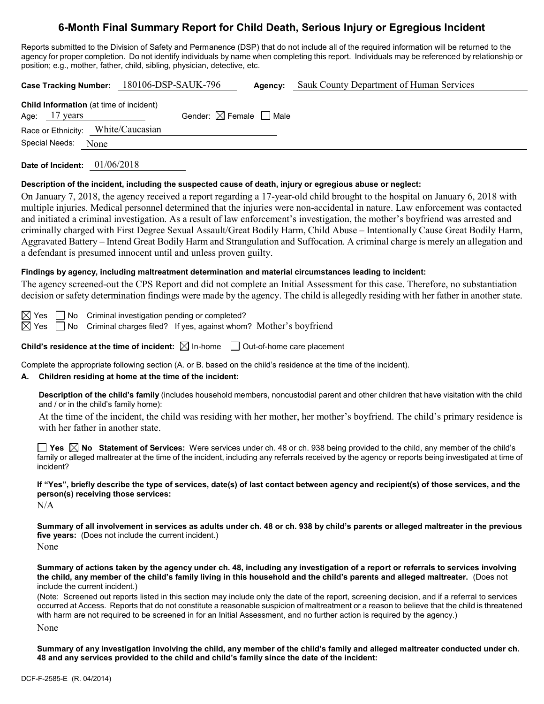# **6-Month Final Summary Report for Child Death, Serious Injury or Egregious Incident**

Reports submitted to the Division of Safety and Permanence (DSP) that do not include all of the required information will be returned to the agency for proper completion. Do not identify individuals by name when completing this report. Individuals may be referenced by relationship or position; e.g., mother, father, child, sibling, physician, detective, etc.

| Case Tracking Number: 180106-DSP-SAUK-796<br><b>Agency:</b> Sauk County Department of Human Services                                                                                                                                                                                                                                                                                                                                                                                                                                                                                                                                                                                                                                     |  |  |  |  |  |
|------------------------------------------------------------------------------------------------------------------------------------------------------------------------------------------------------------------------------------------------------------------------------------------------------------------------------------------------------------------------------------------------------------------------------------------------------------------------------------------------------------------------------------------------------------------------------------------------------------------------------------------------------------------------------------------------------------------------------------------|--|--|--|--|--|
| Child Information (at time of incident)<br>Gender: $\boxtimes$ Female $\Box$ Male<br>Age: $17$ years<br>Race or Ethnicity: White/Caucasian<br>Special Needs: None                                                                                                                                                                                                                                                                                                                                                                                                                                                                                                                                                                        |  |  |  |  |  |
| Date of Incident: 01/06/2018                                                                                                                                                                                                                                                                                                                                                                                                                                                                                                                                                                                                                                                                                                             |  |  |  |  |  |
| Description of the incident, including the suspected cause of death, injury or egregious abuse or neglect:                                                                                                                                                                                                                                                                                                                                                                                                                                                                                                                                                                                                                               |  |  |  |  |  |
| On January 7, 2018, the agency received a report regarding a 17-year-old child brought to the hospital on January 6, 2018 with<br>multiple injuries. Medical personnel determined that the injuries were non-accidental in nature. Law enforcement was contacted<br>and initiated a criminal investigation. As a result of law enforcement's investigation, the mother's boyfriend was arrested and<br>criminally charged with First Degree Sexual Assault/Great Bodily Harm, Child Abuse - Intentionally Cause Great Bodily Harm,<br>Aggravated Battery - Intend Great Bodily Harm and Strangulation and Suffocation. A criminal charge is merely an allegation and<br>a defendant is presumed innocent until and unless proven guilty. |  |  |  |  |  |
| Findings by agency, including maltreatment determination and material circumstances leading to incident:                                                                                                                                                                                                                                                                                                                                                                                                                                                                                                                                                                                                                                 |  |  |  |  |  |
| The agency screened-out the CPS Report and did not complete an Initial Assessment for this case. Therefore, no substantiation<br>decision or safety determination findings were made by the agency. The child is allegedly residing with her father in another state.                                                                                                                                                                                                                                                                                                                                                                                                                                                                    |  |  |  |  |  |
| $\boxtimes$ Yes $\Box$ No Criminal investigation pending or completed?<br>$\boxtimes$ Yes<br>Criminal charges filed? If yes, against whom? Mother's boyfriend<br><b>No</b>                                                                                                                                                                                                                                                                                                                                                                                                                                                                                                                                                               |  |  |  |  |  |
| <b>Child's residence at the time of incident:</b> $\boxtimes$ In-home $\Box$ Out-of-home care placement                                                                                                                                                                                                                                                                                                                                                                                                                                                                                                                                                                                                                                  |  |  |  |  |  |
| Complete the appropriate following section (A. or B. based on the child's residence at the time of the incident).<br>Children residing at home at the time of the incident:                                                                                                                                                                                                                                                                                                                                                                                                                                                                                                                                                              |  |  |  |  |  |

**Description of the child's family** (includes household members, noncustodial parent and other children that have visitation with the child and / or in the child's family home):

At the time of the incident, the child was residing with her mother, her mother's boyfriend. The child's primary residence is with her father in another state.

**Yes No Statement of Services:** Were services under ch. 48 or ch. 938 being provided to the child, any member of the child's family or alleged maltreater at the time of the incident, including any referrals received by the agency or reports being investigated at time of incident?

**If "Yes", briefly describe the type of services, date(s) of last contact between agency and recipient(s) of those services, and the person(s) receiving those services:**

N/A

**Summary of all involvement in services as adults under ch. 48 or ch. 938 by child's parents or alleged maltreater in the previous five years:** (Does not include the current incident.) None

**Summary of actions taken by the agency under ch. 48, including any investigation of a report or referrals to services involving the child, any member of the child's family living in this household and the child's parents and alleged maltreater.** (Does not include the current incident.)

(Note: Screened out reports listed in this section may include only the date of the report, screening decision, and if a referral to services occurred at Access. Reports that do not constitute a reasonable suspicion of maltreatment or a reason to believe that the child is threatened with harm are not required to be screened in for an Initial Assessment, and no further action is required by the agency.) None

**Summary of any investigation involving the child, any member of the child's family and alleged maltreater conducted under ch. 48 and any services provided to the child and child's family since the date of the incident:**